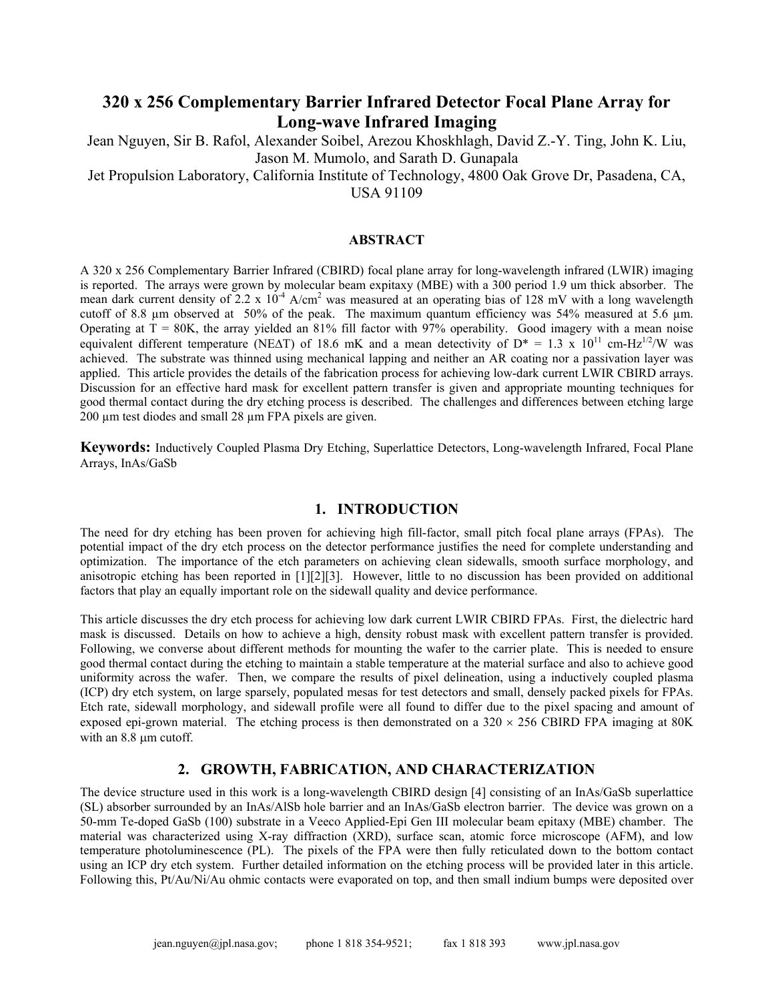# **320 x 256 Complementary Barrier Infrared Detector Focal Plane Array for Long-wave Infrared Imaging**

Jean Nguyen, Sir B. Rafol, Alexander Soibel, Arezou Khoskhlagh, David Z.-Y. Ting, John K. Liu, Jason M. Mumolo, and Sarath D. Gunapala

Jet Propulsion Laboratory, California Institute of Technology, 4800 Oak Grove Dr, Pasadena, CA,

USA 91109

### **ABSTRACT**

A 320 x 256 Complementary Barrier Infrared (CBIRD) focal plane array for long-wavelength infrared (LWIR) imaging is reported. The arrays were grown by molecular beam expitaxy (MBE) with a 300 period 1.9 um thick absorber. The mean dark current density of 2.2 x  $10^{-4}$  A/cm<sup>2</sup> was measured at an operating bias of 128 mV with a long wavelength cutoff of 8.8 µm observed at 50% of the peak. The maximum quantum efficiency was 54% measured at 5.6 µm. Operating at  $T = 80K$ , the array yielded an 81% fill factor with 97% operability. Good imagery with a mean noise equivalent different temperature (NEAT) of 18.6 mK and a mean detectivity of  $D^* = 1.3 \times 10^{11}$  cm-Hz<sup>1/2</sup>/W was achieved. The substrate was thinned using mechanical lapping and neither an AR coating nor a passivation layer was applied. This article provides the details of the fabrication process for achieving low-dark current LWIR CBIRD arrays. Discussion for an effective hard mask for excellent pattern transfer is given and appropriate mounting techniques for good thermal contact during the dry etching process is described. The challenges and differences between etching large 200 µm test diodes and small 28 µm FPA pixels are given.

**Keywords:** Inductively Coupled Plasma Dry Etching, Superlattice Detectors, Long-wavelength Infrared, Focal Plane Arrays, InAs/GaSb

# **1. INTRODUCTION**

The need for dry etching has been proven for achieving high fill-factor, small pitch focal plane arrays (FPAs). The potential impact of the dry etch process on the detector performance justifies the need for complete understanding and optimization. The importance of the etch parameters on achieving clean sidewalls, smooth surface morphology, and anisotropic etching has been reported in [1][2][3]. However, little to no discussion has been provided on additional factors that play an equally important role on the sidewall quality and device performance.

This article discusses the dry etch process for achieving low dark current LWIR CBIRD FPAs. First, the dielectric hard mask is discussed. Details on how to achieve a high, density robust mask with excellent pattern transfer is provided. Following, we converse about different methods for mounting the wafer to the carrier plate. This is needed to ensure good thermal contact during the etching to maintain a stable temperature at the material surface and also to achieve good uniformity across the wafer. Then, we compare the results of pixel delineation, using a inductively coupled plasma (ICP) dry etch system, on large sparsely, populated mesas for test detectors and small, densely packed pixels for FPAs. Etch rate, sidewall morphology, and sidewall profile were all found to differ due to the pixel spacing and amount of exposed epi-grown material. The etching process is then demonstrated on a  $320 \times 256$  CBIRD FPA imaging at 80K with an  $8.8 \mu m$  cutoff.

# **2. GROWTH, FABRICATION, AND CHARACTERIZATION**

The device structure used in this work is a long-wavelength CBIRD design [4] consisting of an InAs/GaSb superlattice (SL) absorber surrounded by an InAs/AlSb hole barrier and an InAs/GaSb electron barrier. The device was grown on a 50-mm Te-doped GaSb (100) substrate in a Veeco Applied-Epi Gen III molecular beam epitaxy (MBE) chamber. The material was characterized using X-ray diffraction (XRD), surface scan, atomic force microscope (AFM), and low temperature photoluminescence (PL). The pixels of the FPA were then fully reticulated down to the bottom contact using an ICP dry etch system. Further detailed information on the etching process will be provided later in this article. Following this, Pt/Au/Ni/Au ohmic contacts were evaporated on top, and then small indium bumps were deposited over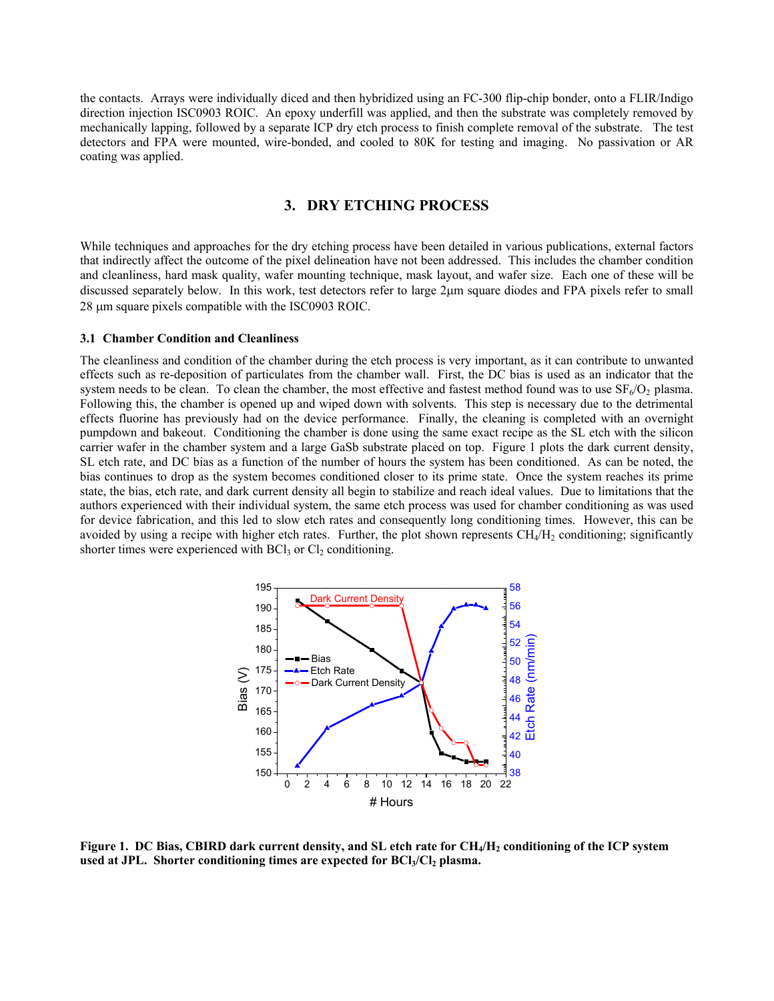the contacts. Arrays were individually diced and then hybridized using an FC-300 flip-chip bonder, onto a FLIR/Indigo direction injection ISC0903 ROIC. An epoxy underfill was applied, and then the substrate was completely removed by mechanically lapping, followed by a separate ICP dry etch process to finish complete removal of the substrate. The test detectors and FPA were mounted, wire-bonded, and cooled to 80K for testing and imaging. No passivation or AR coating was applied.

#### **3. DRY ETCHING PROCESS**

While techniques and approaches for the dry etching process have been detailed in various publications, external factors that indirectly affect the outcome of the pixel delineation have not been addressed. This includes the chamber condition and cleanliness, hard mask quality, wafer mounting technique, mask layout, and wafer size. Each one of these will be discussed separately below. In this work, test detectors refer to large 2 $\mu$ m square diodes and FPA pixels refer to small 28 um square pixels compatible with the ISC0903 ROIC.

#### **3.1 Chamber Condition and Cleanliness**

The cleanliness and condition of the chamber during the etch process is very important, as it can contribute to unwanted effects such as re-deposition of particulates from the chamber wall. First, the DC bias is used as an indicator that the system needs to be clean. To clean the chamber, the most effective and fastest method found was to use  $SF<sub>6</sub>/O<sub>2</sub>$  plasma. Following this, the chamber is opened up and wiped down with solvents. This step is necessary due to the detrimental effects fluorine has previously had on the device performance. Finally, the cleaning is completed with an overnight pumpdown and bakeout. Conditioning the chamber is done using the same exact recipe as the SL etch with the silicon carrier wafer in the chamber system and a large GaSb substrate placed on top. Figure 1 plots the dark current density, SL etch rate, and DC bias as a function of the number of hours the system has been conditioned. As can be noted, the bias continues to drop as the system becomes conditioned closer to its prime state. Once the system reaches its prime state, the bias, etch rate, and dark current density all begin to stabilize and reach ideal values. Due to limitations that the authors experienced with their individual system, the same etch process was used for chamber conditioning as was used for device fabrication, and this led to slow etch rates and consequently long conditioning times. However, this can be avoided by using a recipe with higher etch rates. Further, the plot shown represents  $CH_4/H_2$  conditioning; significantly shorter times were experienced with  $BCl<sub>3</sub>$  or  $Cl<sub>2</sub>$  conditioning.



**Figure 1. DC Bias, CBIRD dark current density, and SL etch rate for CH4/H2 conditioning of the ICP system**  used at JPL. Shorter conditioning times are expected for BCl<sub>3</sub>/Cl<sub>2</sub> plasma.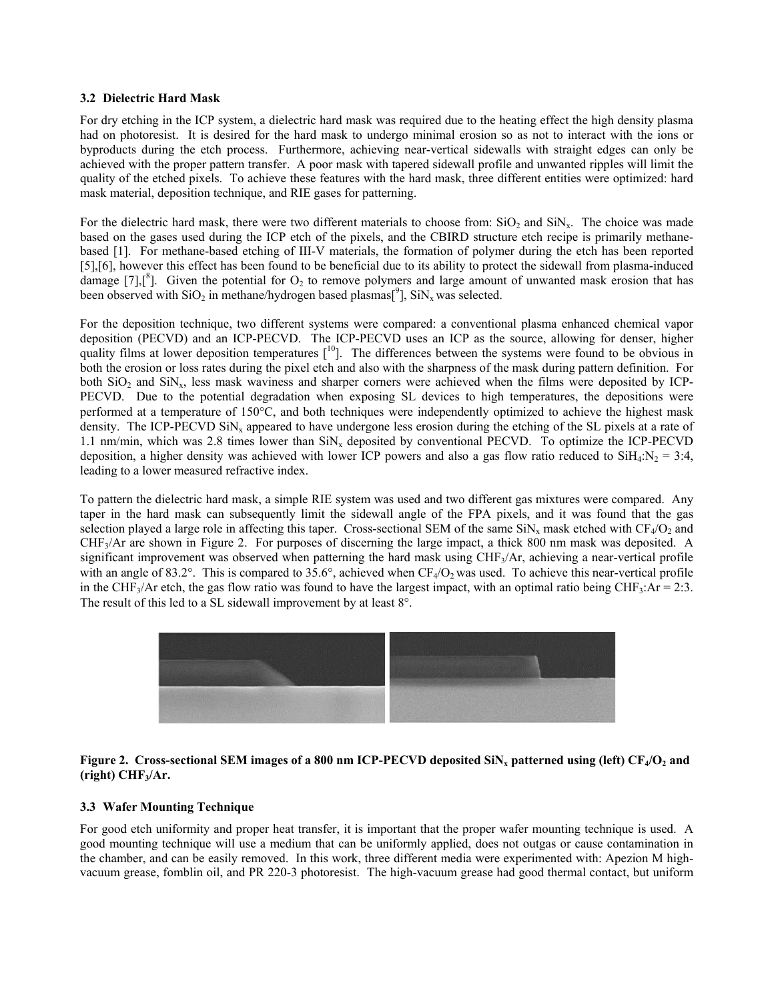#### **3.2 Dielectric Hard Mask**

For dry etching in the ICP system, a dielectric hard mask was required due to the heating effect the high density plasma had on photoresist. It is desired for the hard mask to undergo minimal erosion so as not to interact with the ions or byproducts during the etch process. Furthermore, achieving near-vertical sidewalls with straight edges can only be achieved with the proper pattern transfer. A poor mask with tapered sidewall profile and unwanted ripples will limit the quality of the etched pixels. To achieve these features with the hard mask, three different entities were optimized: hard mask material, deposition technique, and RIE gases for patterning.

For the dielectric hard mask, there were two different materials to choose from:  $SiO<sub>2</sub>$  and  $SiN<sub>x</sub>$ . The choice was made based on the gases used during the ICP etch of the pixels, and the CBIRD structure etch recipe is primarily methanebased [1]. For methane-based etching of III-V materials, the formation of polymer during the etch has been reported [5],[6], however this effect has been found to be beneficial due to its ability to protect the sidewall from plasma-induced damage  $[7]$ ,[<sup>8</sup>]. Given the potential for  $O_2$  to remove polymers and large amount of unwanted mask erosion that has been observed with  $SiO_2$  in methane/hydrogen based plasmas[<sup>9</sup>],  $SiN_x$  was selected.

For the deposition technique, two different systems were compared: a conventional plasma enhanced chemical vapor deposition (PECVD) and an ICP-PECVD. The ICP-PECVD uses an ICP as the source, allowing for denser, higher quality films at lower deposition temperatures [<sup>10</sup>]. The differences between the systems were found to be obvious in both the erosion or loss rates during the pixel etch and also with the sharpness of the mask during pattern definition. For both  $SiO<sub>2</sub>$  and  $SiN<sub>x</sub>$ , less mask waviness and sharper corners were achieved when the films were deposited by ICP-PECVD. Due to the potential degradation when exposing SL devices to high temperatures, the depositions were performed at a temperature of  $150^{\circ}$ C, and both techniques were independently optimized to achieve the highest mask density. The ICP-PECVD SiN, appeared to have undergone less erosion during the etching of the SL pixels at a rate of 1.1 nm/min, which was 2.8 times lower than SiN<sub>x</sub> deposited by conventional PECVD. To optimize the ICP-PECVD deposition, a higher density was achieved with lower ICP powers and also a gas flow ratio reduced to  $SiH_4:N_2 = 3:4$ , leading to a lower measured refractive index.

To pattern the dielectric hard mask, a simple RIE system was used and two different gas mixtures were compared. Any taper in the hard mask can subsequently limit the sidewall angle of the FPA pixels, and it was found that the gas selection played a large role in affecting this taper. Cross-sectional SEM of the same SiN<sub>x</sub> mask etched with  $CF_4/O_2$  and  $CHF<sub>3</sub>/Ar$  are shown in Figure 2. For purposes of discerning the large impact, a thick 800 nm mask was deposited. A significant improvement was observed when patterning the hard mask using  $CHF<sub>3</sub>/Ar$ , achieving a near-vertical profile with an angle of 83.2°. This is compared to 35.6°, achieved when  $CF_4/O_2$  was used. To achieve this near-vertical profile in the CHF<sub>3</sub>/Ar etch, the gas flow ratio was found to have the largest impact, with an optimal ratio being CHF<sub>3</sub>:Ar = 2:3. The result of this led to a SL sidewall improvement by at least 8°.



## Figure 2. Cross-sectional SEM images of a 800 nm ICP-PECVD deposited SiN<sub>x</sub> patterned using (left) CF<sub>4</sub>/O<sub>2</sub> and **(right) CHF3/Ar.**

#### **3.3 Wafer Mounting Technique**

For good etch uniformity and proper heat transfer, it is important that the proper wafer mounting technique is used. A good mounting technique will use a medium that can be uniformly applied, does not outgas or cause contamination in the chamber, and can be easily removed. In this work, three different media were experimented with: Apezion M highvacuum grease, fomblin oil, and PR 220-3 photoresist. The high-vacuum grease had good thermal contact, but uniform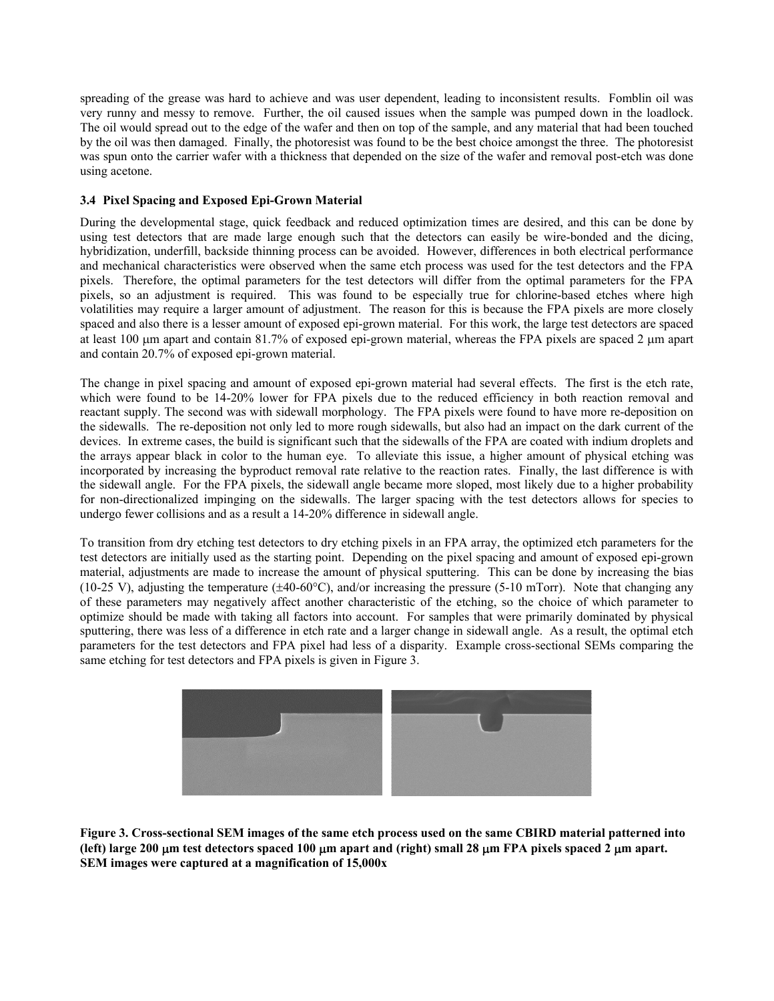spreading of the grease was hard to achieve and was user dependent, leading to inconsistent results. Fomblin oil was very runny and messy to remove. Further, the oil caused issues when the sample was pumped down in the loadlock. The oil would spread out to the edge of the wafer and then on top of the sample, and any material that had been touched by the oil was then damaged. Finally, the photoresist was found to be the best choice amongst the three. The photoresist was spun onto the carrier wafer with a thickness that depended on the size of the wafer and removal post-etch was done using acetone.

#### **3.4 Pixel Spacing and Exposed Epi-Grown Material**

During the developmental stage, quick feedback and reduced optimization times are desired, and this can be done by using test detectors that are made large enough such that the detectors can easily be wire-bonded and the dicing, hybridization, underfill, backside thinning process can be avoided. However, differences in both electrical performance and mechanical characteristics were observed when the same etch process was used for the test detectors and the FPA pixels. Therefore, the optimal parameters for the test detectors will differ from the optimal parameters for the FPA pixels, so an adjustment is required. This was found to be especially true for chlorine-based etches where high volatilities may require a larger amount of adjustment. The reason for this is because the FPA pixels are more closely spaced and also there is a lesser amount of exposed epi-grown material. For this work, the large test detectors are spaced at least 100  $\mu$ m apart and contain 81.7% of exposed epi-grown material, whereas the FPA pixels are spaced 2  $\mu$ m apart and contain 20.7% of exposed epi-grown material.

The change in pixel spacing and amount of exposed epi-grown material had several effects. The first is the etch rate, which were found to be 14-20% lower for FPA pixels due to the reduced efficiency in both reaction removal and reactant supply. The second was with sidewall morphology. The FPA pixels were found to have more re-deposition on the sidewalls. The re-deposition not only led to more rough sidewalls, but also had an impact on the dark current of the devices. In extreme cases, the build is significant such that the sidewalls of the FPA are coated with indium droplets and the arrays appear black in color to the human eye. To alleviate this issue, a higher amount of physical etching was incorporated by increasing the byproduct removal rate relative to the reaction rates. Finally, the last difference is with the sidewall angle. For the FPA pixels, the sidewall angle became more sloped, most likely due to a higher probability for non-directionalized impinging on the sidewalls. The larger spacing with the test detectors allows for species to undergo fewer collisions and as a result a 14-20% difference in sidewall angle.

To transition from dry etching test detectors to dry etching pixels in an FPA array, the optimized etch parameters for the test detectors are initially used as the starting point. Depending on the pixel spacing and amount of exposed epi-grown material, adjustments are made to increase the amount of physical sputtering. This can be done by increasing the bias (10-25 V), adjusting the temperature  $(\pm 40{\text -}60^{\circ}\text{C})$ , and/or increasing the pressure (5-10 mTorr). Note that changing any of these parameters may negatively affect another characteristic of the etching, so the choice of which parameter to optimize should be made with taking all factors into account. For samples that were primarily dominated by physical sputtering, there was less of a difference in etch rate and a larger change in sidewall angle. As a result, the optimal etch parameters for the test detectors and FPA pixel had less of a disparity. Example cross-sectional SEMs comparing the same etching for test detectors and FPA pixels is given in Figure 3.



**Figure 3. Cross-sectional SEM images of the same etch process used on the same CBIRD material patterned into (left) large 200 m test detectors spaced 100 m apart and (right) small 28 m FPA pixels spaced 2 m apart. SEM images were captured at a magnification of 15,000x**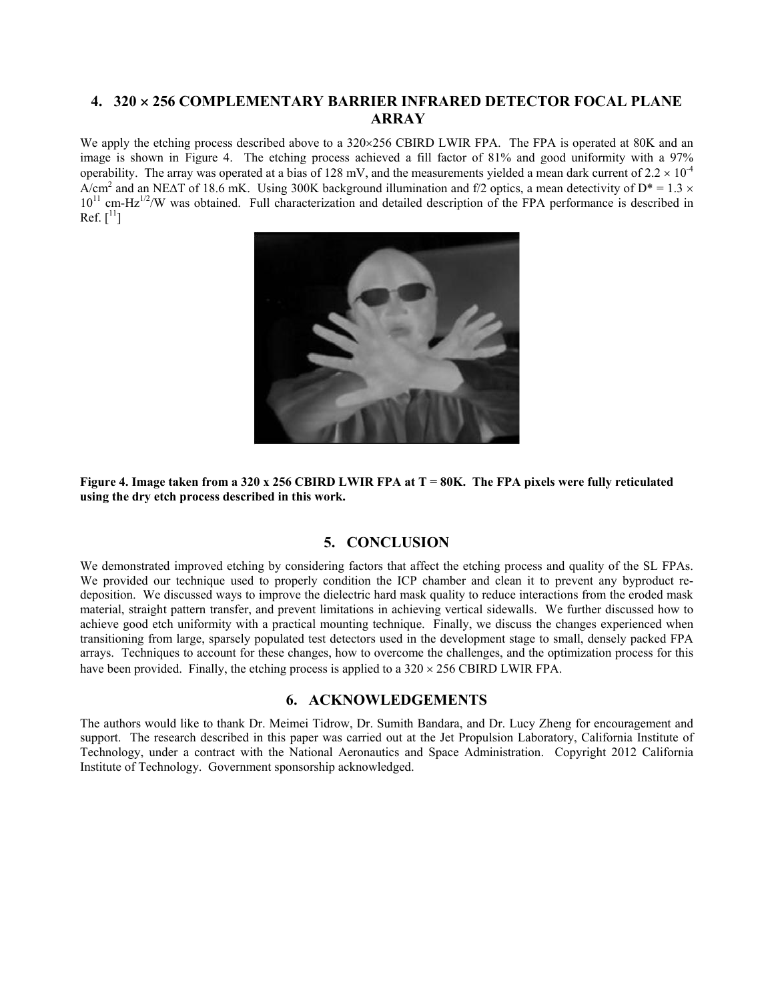# **4. 320 256 COMPLEMENTARY BARRIER INFRARED DETECTOR FOCAL PLANE ARRAY**

We apply the etching process described above to a  $320 \times 256$  CBIRD LWIR FPA. The FPA is operated at 80K and an image is shown in Figure 4. The etching process achieved a fill factor of 81% and good uniformity with a 97% operability. The array was operated at a bias of 128 mV, and the measurements yielded a mean dark current of  $2.2 \times 10^{-4}$ A/cm<sup>2</sup> and an NE $\Delta$ T of 18.6 mK. Using 300K background illumination and f/2 optics, a mean detectivity of D<sup>\*</sup> = 1.3  $\times$  $10^{11}$  cm-Hz $^{1/2}/W$  was obtained. Full characterization and detailed description of the FPA performance is described in Ref.  $\lceil$ <sup>11</sup>]



**Figure 4. Image taken from a 320 x 256 CBIRD LWIR FPA at T = 80K. The FPA pixels were fully reticulated using the dry etch process described in this work.** 

# **5. CONCLUSION**

We demonstrated improved etching by considering factors that affect the etching process and quality of the SL FPAs. We provided our technique used to properly condition the ICP chamber and clean it to prevent any byproduct redeposition. We discussed ways to improve the dielectric hard mask quality to reduce interactions from the eroded mask material, straight pattern transfer, and prevent limitations in achieving vertical sidewalls. We further discussed how to achieve good etch uniformity with a practical mounting technique. Finally, we discuss the changes experienced when transitioning from large, sparsely populated test detectors used in the development stage to small, densely packed FPA arrays. Techniques to account for these changes, how to overcome the challenges, and the optimization process for this have been provided. Finally, the etching process is applied to a  $320 \times 256$  CBIRD LWIR FPA.

#### **6. ACKNOWLEDGEMENTS**

The authors would like to thank Dr. Meimei Tidrow, Dr. Sumith Bandara, and Dr. Lucy Zheng for encouragement and support. The research described in this paper was carried out at the Jet Propulsion Laboratory, California Institute of Technology, under a contract with the National Aeronautics and Space Administration. Copyright 2012 California Institute of Technology. Government sponsorship acknowledged.